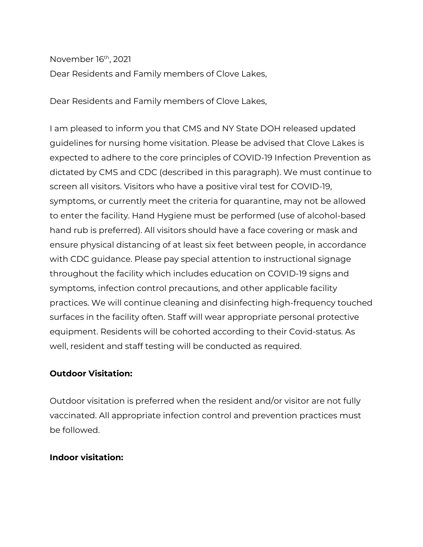November 16th, 2021

Dear Residents and Family members of Clove Lakes,

Dear Residents and Family members of Clove Lakes,

I am pleased to inform you that CMS and NY State DOH released updated guidelines for nursing home visitation. Please be advised that Clove Lakes is expected to adhere to the core principles of COVID-19 Infection Prevention as dictated by CMS and CDC (described in this paragraph). We must continue to screen all visitors. Visitors who have a positive viral test for COVID-19, symptoms, or currently meet the criteria for quarantine, may not be allowed to enter the facility. Hand Hygiene must be performed (use of alcohol-based hand rub is preferred). All visitors should have a face covering or mask and ensure physical distancing of at least six feet between people, in accordance with CDC guidance. Please pay special attention to instructional signage throughout the facility which includes education on COVID-19 signs and symptoms, infection control precautions, and other applicable facility practices. We will continue cleaning and disinfecting high-frequency touched surfaces in the facility often. Staff will wear appropriate personal protective equipment. Residents will be cohorted according to their Covid-status. As well, resident and staff testing will be conducted as required.

# **Outdoor Visitation:**

Outdoor visitation is preferred when the resident and/or visitor are not fully vaccinated. All appropriate infection control and prevention practices must be followed.

# **Indoor visitation:**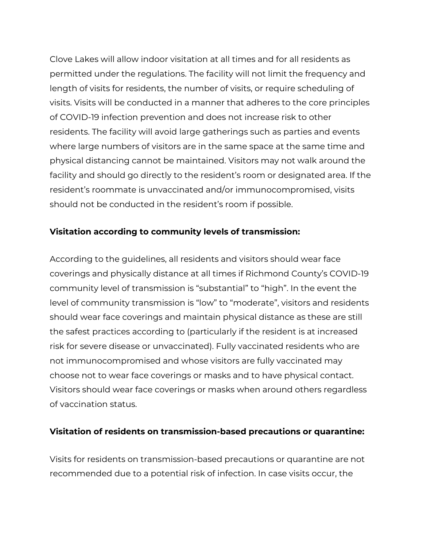Clove Lakes will allow indoor visitation at all times and for all residents as permitted under the regulations. The facility will not limit the frequency and length of visits for residents, the number of visits, or require scheduling of visits. Visits will be conducted in a manner that adheres to the core principles of COVID-19 infection prevention and does not increase risk to other residents. The facility will avoid large gatherings such as parties and events where large numbers of visitors are in the same space at the same time and physical distancing cannot be maintained. Visitors may not walk around the facility and should go directly to the resident's room or designated area. If the resident's roommate is unvaccinated and/or immunocompromised, visits should not be conducted in the resident's room if possible.

## **Visitation according to community levels of transmission:**

According to the guidelines, all residents and visitors should wear face coverings and physically distance at all times if Richmond County's COVID-19 community level of transmission is "substantial" to "high". In the event the level of community transmission is "low" to "moderate", visitors and residents should wear face coverings and maintain physical distance as these are still the safest practices according to (particularly if the resident is at increased risk for severe disease or unvaccinated). Fully vaccinated residents who are not immunocompromised and whose visitors are fully vaccinated may choose not to wear face coverings or masks and to have physical contact. Visitors should wear face coverings or masks when around others regardless of vaccination status.

#### **Visitation of residents on transmission-based precautions or quarantine:**

Visits for residents on transmission-based precautions or quarantine are not recommended due to a potential risk of infection. In case visits occur, the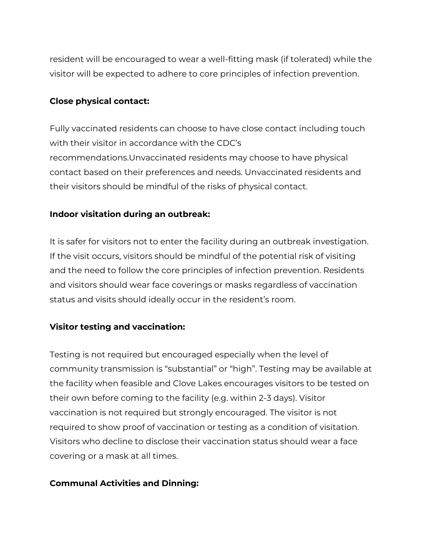resident will be encouraged to wear a well-fitting mask (if tolerated) while the visitor will be expected to adhere to core principles of infection prevention.

## **Close physical contact:**

Fully vaccinated residents can choose to have close contact including touch with their visitor in accordance with the CDC's recommendations.Unvaccinated residents may choose to have physical contact based on their preferences and needs. Unvaccinated residents and their visitors should be mindful of the risks of physical contact.

## **Indoor visitation during an outbreak:**

It is safer for visitors not to enter the facility during an outbreak investigation. If the visit occurs, visitors should be mindful of the potential risk of visiting and the need to follow the core principles of infection prevention. Residents and visitors should wear face coverings or masks regardless of vaccination status and visits should ideally occur in the resident's room.

# **Visitor testing and vaccination:**

Testing is not required but encouraged especially when the level of community transmission is "substantial" or "high". Testing may be available at the facility when feasible and Clove Lakes encourages visitors to be tested on their own before coming to the facility (e.g. within 2-3 days). Visitor vaccination is not required but strongly encouraged. The visitor is not required to show proof of vaccination or testing as a condition of visitation. Visitors who decline to disclose their vaccination status should wear a face covering or a mask at all times.

#### **Communal Activities and Dinning:**